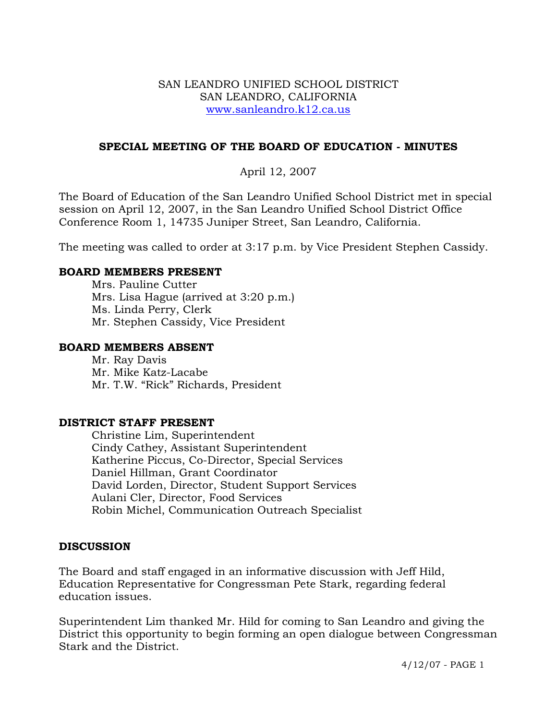## SAN LEANDRO UNIFIED SCHOOL DISTRICT SAN LEANDRO, CALIFORNIA www.sanleandro.k12.ca.us

## **SPECIAL MEETING OF THE BOARD OF EDUCATION - MINUTES**

April 12, 2007

The Board of Education of the San Leandro Unified School District met in special session on April 12, 2007, in the San Leandro Unified School District Office Conference Room 1, 14735 Juniper Street, San Leandro, California.

The meeting was called to order at 3:17 p.m. by Vice President Stephen Cassidy.

#### **BOARD MEMBERS PRESENT**

Mrs. Pauline Cutter Mrs. Lisa Hague (arrived at 3:20 p.m.) Ms. Linda Perry, Clerk Mr. Stephen Cassidy, Vice President

#### **BOARD MEMBERS ABSENT**

Mr. Ray Davis Mr. Mike Katz-Lacabe Mr. T.W. "Rick" Richards, President

#### **DISTRICT STAFF PRESENT**

Christine Lim, Superintendent Cindy Cathey, Assistant Superintendent Katherine Piccus, Co-Director, Special Services Daniel Hillman, Grant Coordinator David Lorden, Director, Student Support Services Aulani Cler, Director, Food Services Robin Michel, Communication Outreach Specialist

## **DISCUSSION**

The Board and staff engaged in an informative discussion with Jeff Hild, Education Representative for Congressman Pete Stark, regarding federal education issues.

Superintendent Lim thanked Mr. Hild for coming to San Leandro and giving the District this opportunity to begin forming an open dialogue between Congressman Stark and the District.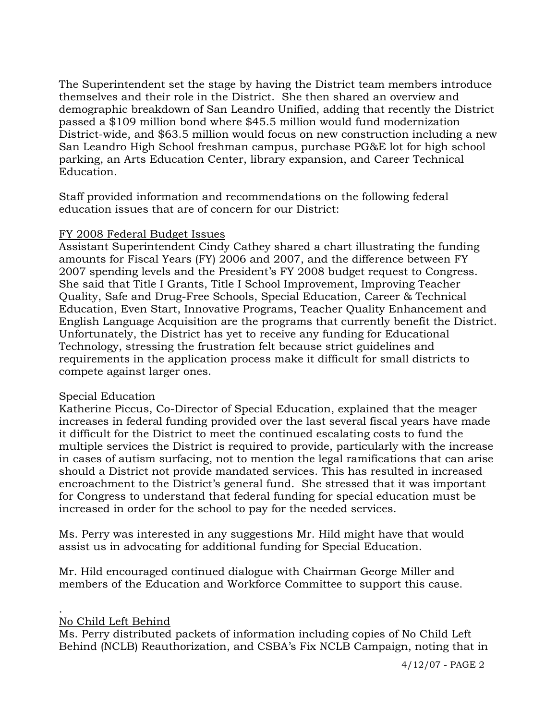The Superintendent set the stage by having the District team members introduce themselves and their role in the District. She then shared an overview and demographic breakdown of San Leandro Unified, adding that recently the District passed a \$109 million bond where \$45.5 million would fund modernization District-wide, and \$63.5 million would focus on new construction including a new San Leandro High School freshman campus, purchase PG&E lot for high school parking, an Arts Education Center, library expansion, and Career Technical Education.

Staff provided information and recommendations on the following federal education issues that are of concern for our District:

#### FY 2008 Federal Budget Issues

Assistant Superintendent Cindy Cathey shared a chart illustrating the funding amounts for Fiscal Years (FY) 2006 and 2007, and the difference between FY 2007 spending levels and the President's FY 2008 budget request to Congress. She said that Title I Grants, Title I School Improvement, Improving Teacher Quality, Safe and Drug-Free Schools, Special Education, Career & Technical Education, Even Start, Innovative Programs, Teacher Quality Enhancement and English Language Acquisition are the programs that currently benefit the District. Unfortunately, the District has yet to receive any funding for Educational Technology, stressing the frustration felt because strict guidelines and requirements in the application process make it difficult for small districts to compete against larger ones.

#### Special Education

Katherine Piccus, Co-Director of Special Education, explained that the meager increases in federal funding provided over the last several fiscal years have made it difficult for the District to meet the continued escalating costs to fund the multiple services the District is required to provide, particularly with the increase in cases of autism surfacing, not to mention the legal ramifications that can arise should a District not provide mandated services. This has resulted in increased encroachment to the District's general fund. She stressed that it was important for Congress to understand that federal funding for special education must be increased in order for the school to pay for the needed services.

Ms. Perry was interested in any suggestions Mr. Hild might have that would assist us in advocating for additional funding for Special Education.

Mr. Hild encouraged continued dialogue with Chairman George Miller and members of the Education and Workforce Committee to support this cause.

#### . No Child Left Behind

Ms. Perry distributed packets of information including copies of No Child Left Behind (NCLB) Reauthorization, and CSBA's Fix NCLB Campaign, noting that in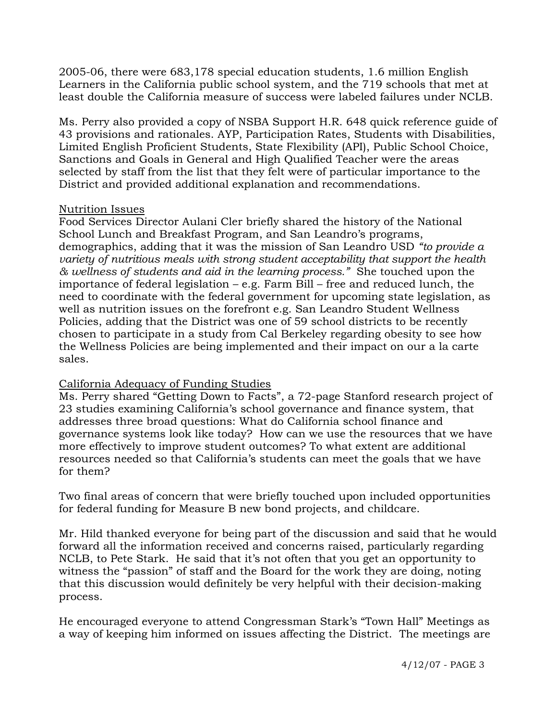2005-06, there were 683,178 special education students, 1.6 million English Learners in the California public school system, and the 719 schools that met at least double the California measure of success were labeled failures under NCLB.

Ms. Perry also provided a copy of NSBA Support H.R. 648 quick reference guide of 43 provisions and rationales. AYP, Participation Rates, Students with Disabilities, Limited English Proficient Students, State Flexibility (API), Public School Choice, Sanctions and Goals in General and High Qualified Teacher were the areas selected by staff from the list that they felt were of particular importance to the District and provided additional explanation and recommendations.

## Nutrition Issues

Food Services Director Aulani Cler briefly shared the history of the National School Lunch and Breakfast Program, and San Leandro's programs, demographics, adding that it was the mission of San Leandro USD *"to provide a variety of nutritious meals with strong student acceptability that support the health & wellness of students and aid in the learning process."* She touched upon the importance of federal legislation – e.g. Farm Bill – free and reduced lunch, the need to coordinate with the federal government for upcoming state legislation, as well as nutrition issues on the forefront e.g. San Leandro Student Wellness Policies, adding that the District was one of 59 school districts to be recently chosen to participate in a study from Cal Berkeley regarding obesity to see how the Wellness Policies are being implemented and their impact on our a la carte sales.

## California Adequacy of Funding Studies

Ms. Perry shared "Getting Down to Facts", a 72-page Stanford research project of 23 studies examining California's school governance and finance system, that addresses three broad questions: What do California school finance and governance systems look like today? How can we use the resources that we have more effectively to improve student outcomes? To what extent are additional resources needed so that California's students can meet the goals that we have for them?

Two final areas of concern that were briefly touched upon included opportunities for federal funding for Measure B new bond projects, and childcare.

Mr. Hild thanked everyone for being part of the discussion and said that he would forward all the information received and concerns raised, particularly regarding NCLB, to Pete Stark. He said that it's not often that you get an opportunity to witness the "passion" of staff and the Board for the work they are doing, noting that this discussion would definitely be very helpful with their decision-making process.

He encouraged everyone to attend Congressman Stark's "Town Hall" Meetings as a way of keeping him informed on issues affecting the District. The meetings are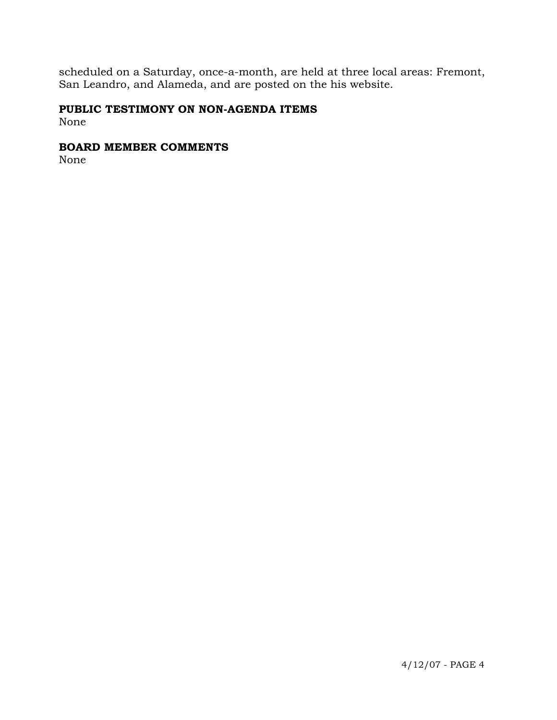scheduled on a Saturday, once-a-month, are held at three local areas: Fremont, San Leandro, and Alameda, and are posted on the his website.

# **PUBLIC TESTIMONY ON NON-AGENDA ITEMS**

None

## **BOARD MEMBER COMMENTS**

None